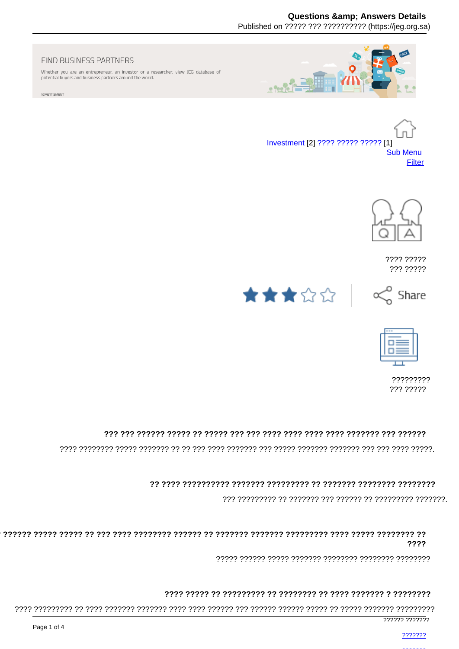# **Questions & Answers Details**

Published on ????? ??? ?????????? (https://jeg.org.sa)



Whether you are an entrepreneur, an investor or a researcher, view JEG database of potential buyers and business partners around the world.

ADVERTISMENT



Investment [2] ???? ????? ????? [1] **Sub Menu** Filter



???? ????? ??? ?????







????????? ??? ?????

# 

## 

#### ????

## 

777777 7777777

- 2222222
	-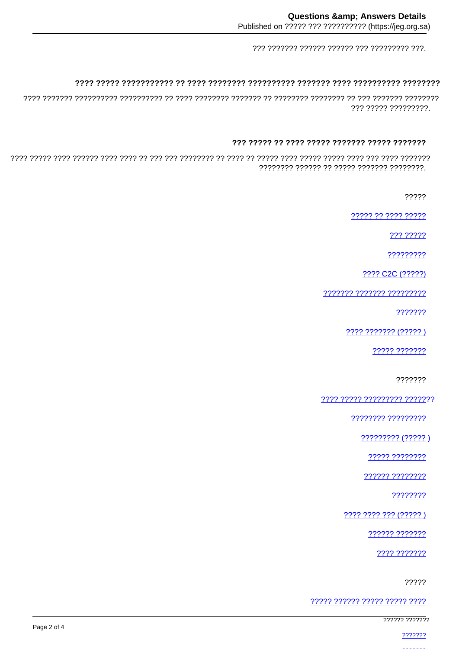# 

??? ????? ?????????.

#### 

?????

????? ?? ???? ?????

??? ?????

?????????

???? C2C (?????)

??????? ??????? ?????????

???????

???? ??????? (?????)

????? ???????

???????

<u>???? ????? ????????? ?????</u>??

<u>???????? ??????????</u>

????? ????????

?????? ????????

????????

???? ???? ??? (????? )

?????? ???????

7777 7777777

?????

????? ?????? ????? ????? ????

777777 777777

2222222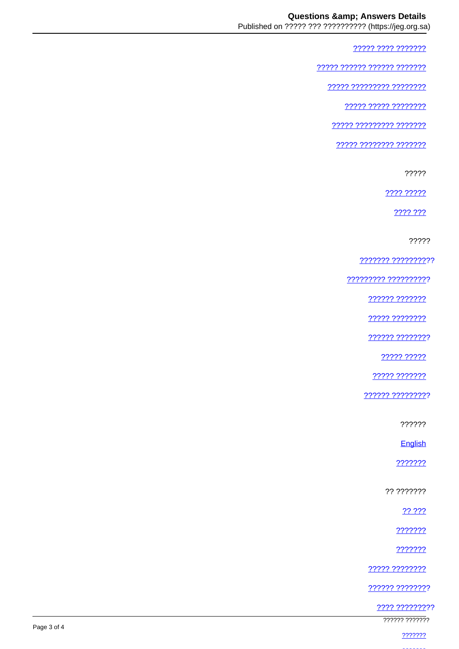77777 7777 7777777

????? ?????? ?????? ???????

77777 777777777 77777777

77777 77777 77777777

77777 777777777 7777777

????? ???????? ???????

?????

???? ?????

2222.222

?????

??????? ??????????

777777777 7777777777

?????? ???????

22222 22222222

?????? ????????

????? ?????

????? ???????

?????? ?????????

??????

English

???????

?? ???????

?? ???

???????

???????

22222 22222222

?????? ????????

<u> ???? ?????????</u>

777777 7777777

2222222